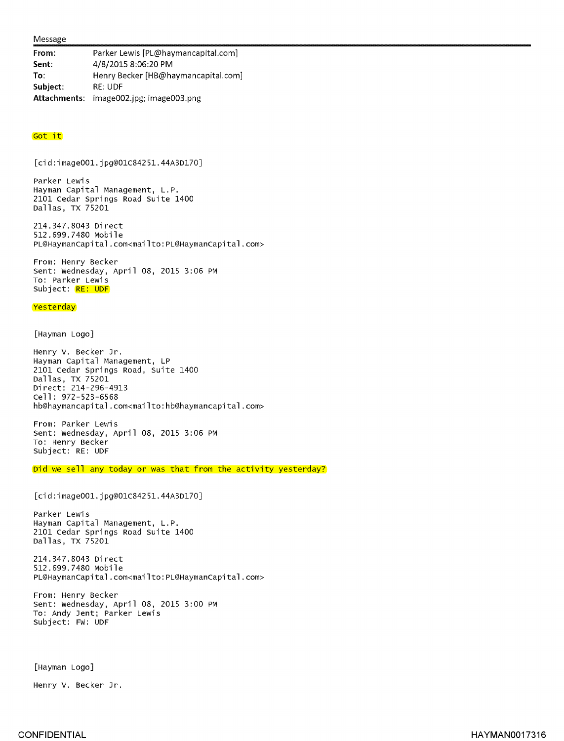## Message

From: Parker Lewis [PL@haymancapital.com] Sent: 4/8/2015 8:06:20 PM To: Henry Becker [HB@haymancapital.com] Subject: RE: UDF Attachments: image002.jpg; image003.png

## Got it

[cid:image001.jpg@01C84251.44A3D170]

Parker Lewis Hayman Capital Management, L.P. 2101 Cedar Springs Road Suite 1400 Dallas, TX 75201

214.347.8043 Direct 512.699.7480 Mobile PL@HaymanCapital.com<mailto:PL@HaymanCapital .com>

From: Henry Becker Sent: Wednesday, April 08, 2015 3:06 PM To: Parker Lewis Subject: RE: UDF

## **Yesterday**

[Hayman Logo]

Henry V. Becker Jr. Hayman Capital Management, LP 2101 Cedar Springs Road, Suite 1400 Dallas, TX 75201 Direct: 214-296-4913 Cell: 972-523-6568 h b@haymancapital.com<mailto:hb@haymancapital .com>

From: Parker Lewis Sent: Wednesday, April 08, 2015 3:06 PM To: Henry Becker Subject: RE: UDF

Did we sell any today or was that from the activity yesterday?

[cid:image001.jpg@O1C84251.44A3D170]

Parker Lewis Hayman Capital Management, L.P. 2101 Cedar Springs Road Suite 1400 Dallas, TX 75201

214.347.8043 Direct 512.699.7480 Mobile PL@HaymanCapital.com<mailto:PL@HaymanCapital .com>

From: Henry Becker Sent: Wednesday, April 08, 2015 3:00 PM To: Andy Jent; Parker Lewis Subject: FW: UDF

[Hayman Logo]

Henry V. Becker Jr.